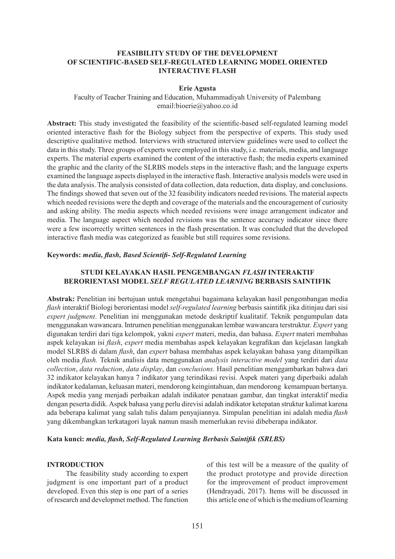## **FEASIBILITY STUDY OF THE DEVELOPMENT OF SCIENTIFIC-BASED SELF-REGULATED LEARNING MODEL ORIENTED INTERACTIVE FLASH**

## **Erie Agusta**

Faculty of Teacher Training and Education, Muhammadiyah University of Palembang email:bioerie@yahoo.co.id

**Abstract:** This study investigated the feasibility of the scientific-based self-regulated learning model oriented interactive flash for the Biology subject from the perspective of experts. This study used descriptive qualitative method. Interviews with structured interview guidelines were used to collect the data in this study. Three groups of experts were employed in this study, i.e. materials, media, and language experts. The material experts examined the content of the interactive flash; the media experts examined the graphic and the clarity of the SLRBS models steps in the interactive flash; and the language experts examined the language aspects displayed in the interactive flash. Interactive analysis models were used in the data analysis. The analysis consisted of data collection, data reduction, data display, and conclusions. The findings showed that seven out of the 32 feasibility indicators needed revisions. The material aspects which needed revisions were the depth and coverage of the materials and the encouragement of curiosity and asking ability. The media aspects which needed revisions were image arrangement indicator and media. The language aspect which needed revisions was the sentence accuracy indicator since there were a few incorrectly written sentences in the flash presentation. It was concluded that the developed interactive flash media was categorized as feasible but still requires some revisions.

#### **Keywords:** *media, flash, Based Scientifi- Self-Regulated Learning*

# **STUDI KELAYAKAN HASIL PENGEMBANGAN** *FLASH* **INTERAKTIF BERORIENTASI MODEL** *SELF REGULATED LEARNING* **BERBASIS SAINTIFIK**

**Abstrak:** Penelitian ini bertujuan untuk mengetahui bagaimana kelayakan hasil pengembangan media *flash* interaktif Biologi berorientasi model *self-regulated learning* berbasis saintifik jika ditinjau dari sisi *expert judgment*. Penelitian ini menggunakan metode deskriptif kualitatif. Teknik pengumpulan data menggunakan wawancara. Intrumen penelitian menggunakan lembar wawancara terstruktur. *Expert* yang digunakan terdiri dari tiga kelompok, yakni *expert* materi, media, dan bahasa. *Expert* materi membahas aspek kelayakan isi *flash*, *expert* media membahas aspek kelayakan kegrafikan dan kejelasan langkah model SLRBS di dalam *flash*, dan *expert* bahasa membahas aspek kelayakan bahasa yang ditampilkan oleh media *flash.* Teknik analisis data menggunakan *analysis interactive model* yang terdiri dari *data collection*, *data reduction*, *data display*, dan *conclusions*. Hasil penelitian menggambarkan bahwa dari 32 indikator kelayakan hanya 7 indikator yang terindikasi revisi. Aspek materi yang diperbaiki adalah indikator kedalaman, keluasan materi, mendorong keingintahuan, dan mendorong kemampuan bertanya. Aspek media yang menjadi perbaikan adalah indikator penataan gambar, dan tingkat interaktif media dengan peserta didik. Aspek bahasa yang perlu direvisi adalah indikator ketepatan struktur kalimat karena ada beberapa kalimat yang salah tulis dalam penyajiannya. Simpulan penelitian ini adalah media *flash*  yang dikembangkan terkatagori layak namun masih memerlukan revisi dibeberapa indikator.

## **Kata kunci:** *media, flash, Self-Regulated Learning Berbasis Saintifik (SRLBS)*

#### **INTRODUCTION**

The feasibility study according to expert judgment is one important part of a product developed. Even this step is one part of a series of research and developmet method. The function of this test will be a measure of the quality of the product prototype and provide direction for the improvement of product improvement (Hendrayadi, 2017). Items will be discussed in this article one of which is the medium of learning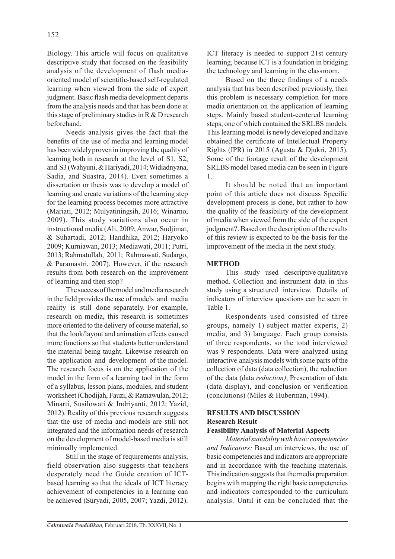Biology. This article will focus on qualitative descriptive study that focused on the feasibility analysis of the development of flash mediaoriented model of scientific-based self-regulated learning when viewed from the side of expert judgment. Basic flash media development departs from the analysis needs and that has been done at this stage of preliminary studies in R & D research beforehand.

Needs analysis gives the fact that the benefits of the use of media and learning model has been widely proven in improving the quality of learning both in research at the level of S1, S2, and S3 (Wahyuni, & Hariyadi, 2014; Widiadnyana, Sadia, and Suastra, 2014). Even sometimes a dissertation or thesis was to develop a model of learning and create variations of the learning step for the learning process becomes more attractive (Mariati, 2012; Mulyatiningsih, 2016; Winarno, 2009). This study variations also occur in instructional media (Ali, 2009; Anwar, Sudjimat, & Suhartadi, 2012; Handhika, 2012; Haryoko 2009; Kurniawan, 2013; Mediawati, 2011; Putri, 2013; Rahmatullah, 2011; Rahmawati, Sudargo, & Paramastri, 2007). However, if the research results from both research on the improvement of learning and then stop?

The success of the model and media research in the field provides the use of models and media reality is still done separately. For example, research on media, this research is sometimes more oriented to the delivery of course material, so that the look/layout and animation effects caused more functions so that students better understand the material being taught. Likewise research on the application and development of the model. The research focus is on the application of the model in the form of a learning tool in the form of a syllabus, lesson plans, modules, and student worksheet (Chodijah, Fauzi, & Ratnawulan, 2012; Minarti, Susilowati & Indriyanti, 2012; Yazid, 2012). Reality of this previous research suggests that the use of media and models are still not integrated and the information needs of research on the development of model-based media is still minimally implemented.

Still in the stage of requirements analysis, field observation also suggests that teachers desperately need the Guide creation of ICTbased learning so that the ideals of ICT literacy achievement of competencies in a learning can be achieved (Suryadi, 2005, 2007; Yazdi, 2012).

ICT literacy is needed to support 21st century learning, because ICT is a foundation in bridging the technology and learning in the classroom.

Based on the three findings of a needs analysis that has been described previously, then this problem is necessary completion for more media orientation on the application of learning steps. Mainly based student-centered learning steps, one of which contained the SRLBS models. This learning model is newly developed and have obtained the certificate of Intellectual Property Rights (IPR) in 2015 (Agusta & Djukri, 2015). Some of the footage result of the development SRLBS model based media can be seen in Figure 1.

It should be noted that an important point of this article does not discuss Specific development process is done, but rather to how the quality of the feasibility of the development of media when viewed from the side of the expert judgment?. Based on the description of the results of this review is expected to be the basis for the improvement of the media in the next study.

# **METHOD**

This study used descriptive qualitative method. Collection and instrument data in this study using a structured interview. Details of indicators of interview questions can be seen in Table 1.

Respondents used consisted of three groups, namely 1) subject matter experts, 2) media, and 3) language. Each group consists of three respondents, so the total interviewed was 9 respondents. Data were analyzed using interactive analysis models with some parts of the collection of data (data collection), the reduction of the data (data *reduction)*, Presentation of data (data display), and conclusion or verification (conclutions) (Miles & Huberman, 1994).

## **RESULTS AND DISCUSSION Research Result Feasibility Analysis of Material Aspects**

# *Material suitability with basic competencies and Indicators:* Based on interviews, the use of basic competencies and indicators are appropriate and in accordance with the teaching materials. This indication suggests that the media preparation begins with mapping the right basic competencies and indicators corresponded to the curriculum analysis. Until it can be concluded that the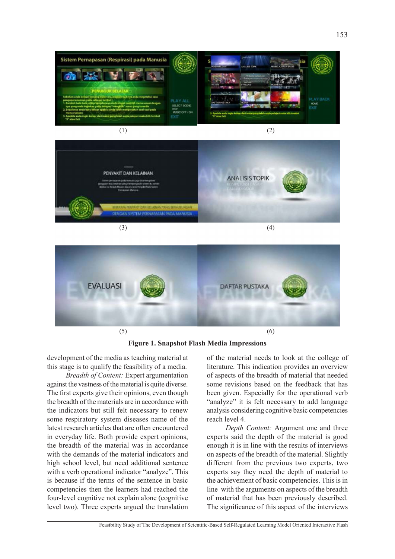







**Figure 1. Snapshot Flash Media Impressions**

development of the media as teaching material at this stage is to qualify the feasibility of a media.

*Breadth of Content:* Expert argumentation against the vastness of the material is quite diverse. The first experts give their opinions, even though the breadth of the materials are in accordance with the indicators but still felt necessary to renew some respiratory system diseases name of the latest research articles that are often encountered in everyday life. Both provide expert opinions, the breadth of the material was in accordance with the demands of the material indicators and high school level, but need additional sentence with a verb operational indicator "analyze". This is because if the terms of the sentence in basic competencies then the learners had reached the four-level cognitive not explain alone (cognitive level two). Three experts argued the translation of the material needs to look at the college of literature. This indication provides an overview of aspects of the breadth of material that needed some revisions based on the feedback that has been given. Especially for the operational verb "analyze" it is felt necessary to add language analysis considering cognitive basic competencies reach level 4.

*Depth Content:* Argument one and three experts said the depth of the material is good enough it is in line with the results of interviews on aspects of the breadth of the material. Slightly different from the previous two experts, two experts say they need the depth of material to the achievement of basic competencies. This is in line with the arguments on aspects of the breadth of material that has been previously described. The significance of this aspect of the interviews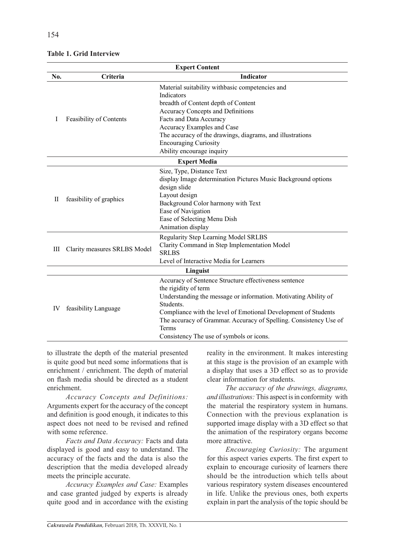| <b>Expert Content</b> |                              |                                                                                                                                                                                                                                                                                                                                                           |
|-----------------------|------------------------------|-----------------------------------------------------------------------------------------------------------------------------------------------------------------------------------------------------------------------------------------------------------------------------------------------------------------------------------------------------------|
| No.                   | Criteria                     | Indicator                                                                                                                                                                                                                                                                                                                                                 |
| Ι                     | Feasibility of Contents      | Material suitability withbasic competencies and<br>Indicators<br>breadth of Content depth of Content<br>Accuracy Concepts and Definitions<br>Facts and Data Accuracy<br>Accuracy Examples and Case<br>The accuracy of the drawings, diagrams, and illustrations<br><b>Encouraging Curiosity</b><br>Ability encourage inquiry                              |
| <b>Expert Media</b>   |                              |                                                                                                                                                                                                                                                                                                                                                           |
| $\rm II$              | feasibility of graphics      | Size, Type, Distance Text<br>display Image determination Pictures Music Background options<br>design slide<br>Layout design<br>Background Color harmony with Text<br>Ease of Navigation<br>Ease of Selecting Menu Dish<br>Animation display                                                                                                               |
| Ш                     | Clarity measures SRLBS Model | Regularity Step Learning Model SRLBS<br>Clarity Command in Step Implementation Model<br><b>SRLBS</b><br>Level of Interactive Media for Learners                                                                                                                                                                                                           |
| Linguist              |                              |                                                                                                                                                                                                                                                                                                                                                           |
| IV                    | feasibility Language         | Accuracy of Sentence Structure effectiveness sentence<br>the rigidity of term<br>Understanding the message or information. Motivating Ability of<br>Students.<br>Compliance with the level of Emotional Development of Students<br>The accuracy of Grammar. Accuracy of Spelling. Consistency Use of<br>Terms<br>Consistency The use of symbols or icons. |

# **Table 1. Grid Interview**

to illustrate the depth of the material presented is quite good but need some informations that is enrichment / enrichment. The depth of material on flash media should be directed as a student enrichment.

*Accuracy Concepts and Definitions:*  Arguments expert for the accuracy of the concept and definition is good enough, it indicates to this aspect does not need to be revised and refined with some reference.

*Facts and Data Accuracy:* Facts and data displayed is good and easy to understand. The accuracy of the facts and the data is also the description that the media developed already meets the principle accurate.

*Accuracy Examples and Case:* Examples and case granted judged by experts is already quite good and in accordance with the existing reality in the environment. It makes interesting at this stage is the provision of an example with a display that uses a 3D effect so as to provide clear information for students.

*The accuracy of the drawings, diagrams, and illustrations:* This aspect is in conformity with the material the respiratory system in humans. Connection with the previous explanation is supported image display with a 3D effect so that the animation of the respiratory organs become more attractive.

*Encouraging Curiosity:* The argument for this aspect varies experts. The first expert to explain to encourage curiosity of learners there should be the introduction which tells about various respiratory system diseases encountered in life. Unlike the previous ones, both experts explain in part the analysis of the topic should be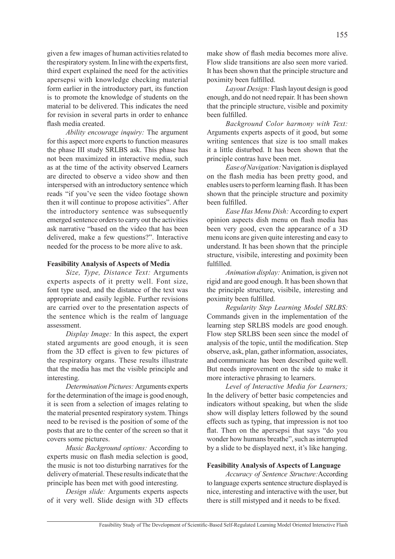given a few images of human activities related to the respiratory system. In line with the experts first, third expert explained the need for the activities apersepsi with knowledge checking material form earlier in the introductory part, its function is to promote the knowledge of students on the material to be delivered. This indicates the need for revision in several parts in order to enhance flash media created.

*Ability encourage inquiry:* The argument for this aspect more experts to function measures the phase III study SRLBS ask. This phase has not been maximized in interactive media, such as at the time of the activity observed Learners are directed to observe a video show and then interspersed with an introductory sentence which reads "if you've seen the video footage shown then it will continue to propose activities". After the introductory sentence was subsequently emerged sentence orders to carry out the activities ask narrative "based on the video that has been delivered, make a few questions?". Interactive needed for the process to be more alive to ask.

#### **Feasibility Analysis of Aspects of Media**

*Size, Type, Distance Text:* Arguments experts aspects of it pretty well. Font size, font type used, and the distance of the text was appropriate and easily legible. Further revisions are carried over to the presentation aspects of the sentence which is the realm of language assessment.

*Display Image:* In this aspect, the expert stated arguments are good enough, it is seen from the 3D effect is given to few pictures of the respiratory organs. These results illustrate that the media has met the visible principle and interesting.

*Determination Pictures:* Arguments experts for the determination of the image is good enough, it is seen from a selection of images relating to the material presented respiratory system. Things need to be revised is the position of some of the posts that are to the center of the screen so that it covers some pictures.

*Music Background options:* According to experts music on flash media selection is good, the music is not too disturbing narratives for the delivery of material. These results indicate that the principle has been met with good interesting.

*Design slide:* Arguments experts aspects of it very well. Slide design with 3D effects make show of flash media becomes more alive. Flow slide transitions are also seen more varied. It has been shown that the principle structure and poximity been fulfilled.

*Layout Design:* Flash layout design is good enough, and do not need repair. It has been shown that the principle structure, visible and poximity been fulfilled.

*Background Color harmony with Text:*  Arguments experts aspects of it good, but some writing sentences that size is too small makes it a little disturbed. It has been shown that the principle contras have been met.

*Ease of Navigation:* Navigation is displayed on the flash media has been pretty good, and enables users to perform learning flash. It has been shown that the principle structure and poximity been fulfilled.

*Ease Has Menu Dish:* According to expert opinion aspects dish menu on flash media has been very good, even the appearance of a 3D menu icons are given quite interesting and easy to understand. It has been shown that the principle structure, visibile, interesting and poximity been fulfilled.

*Animation display:* Animation, is given not rigid and are good enough. It has been shown that the principle structure, visibile, interesting and poximity been fulfilled.

*Regularity Step Learning Model SRLBS:*  Commands given in the implementation of the learning step SRLBS models are good enough. Flow step SRLBS been seen since the model of analysis of the topic, until the modification. Step observe, ask, plan, gather information, associates, and communicate has been described quite well. But needs improvement on the side to make it more interactive phrasing to learners.

*Level of Interactive Media for Learners;*  In the delivery of better basic competencies and indicators without speaking, but when the slide show will display letters followed by the sound effects such as typing, that impression is not too flat. Then on the apersepsi that says "do you wonder how humans breathe", such as interrupted by a slide to be displayed next, it's like hanging.

#### **Feasibility Analysis of Aspects of Language**

*Accuracy of Sentence Structure:*According to language experts sentence structure displayed is nice, interesting and interactive with the user, but there is still mistyped and it needs to be fixed.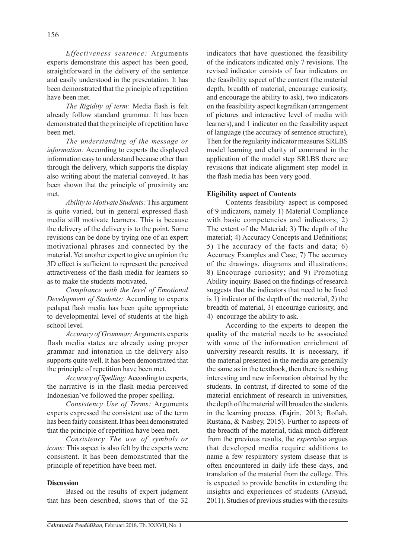*Effectiveness sentence:* Arguments experts demonstrate this aspect has been good, straightforward in the delivery of the sentence and easily understood in the presentation. It has been demonstrated that the principle of repetition have been met.

*The Rigidity of term:* Media flash is felt already follow standard grammar. It has been demonstrated that the principle of repetition have been met.

*The understanding of the message or information:* According to experts the displayed information easy to understand because other than through the delivery, which supports the display also writing about the material conveyed. It has been shown that the principle of proximity are met.

*Ability to Motivate Students:* This argument is quite varied, but in general expressed flash media still motivate learners. This is because the delivery of the delivery is to the point. Some revisions can be done by trying one of an expert motivational phrases and connected by the material. Yet another expert to give an opinion the 3D effect is sufficient to represent the perceived attractiveness of the flash media for learners so as to make the students motivated.

*Compliance with the level of Emotional Development of Students:* According to experts pedapat flash media has been quite appropriate to developmental level of students at the high school level.

*Accuracy of Grammar;* Arguments experts flash media states are already using proper grammar and intonation in the delivery also supports quite well. It has been demonstrated that the principle of repetition have been met.

*Accuracy of Spelling:* According to experts, the narrative is in the flash media perceived Indonesian've followed the proper spelling.

*Consistency Use of Terms:* Arguments experts expressed the consistent use of the term has been fairly consistent. It has been demonstrated that the principle of repetition have been met.

*Consistency The use of symbols or icons:* This aspect is also felt by the experts were consistent. It has been demonstrated that the principle of repetition have been met.

## **Discussion**

Based on the results of expert judgment that has been described, shows that of the 32 indicators that have questioned the feasibility of the indicators indicated only 7 revisions. The revised indicator consists of four indicators on the feasibility aspect of the content (the material depth, breadth of material, encourage curiosity, and encourage the ability to ask), two indicators on the feasibility aspect kegrafikan (arrangement of pictures and interactive level of media with learners), and 1 indicator on the feasibility aspect of language (the accuracy of sentence structure), Then for the regularity indicator measures SRLBS model learning and clarity of command in the application of the model step SRLBS there are revisions that indicate alignment step model in the flash media has been very good.

#### **Eligibility aspect of Contents**

Contents feasibility aspect is composed of 9 indicators, namely 1) Material Compliance with basic competencies and indicators; 2) The extent of the Material; 3) The depth of the material; 4) Accuracy Concepts and Definitions; 5) The accuracy of the facts and data; 6) Accuracy Examples and Case; 7) The accuracy of the drawings, diagrams and illustrations; 8) Encourage curiosity; and 9) Promoting Ability inquiry. Based on the findings of research suggests that the indicators that need to be fixed is 1) indicator of the depth of the material, 2) the breadth of material, 3) encourage curiosity, and 4) encourage the ability to ask.

According to the experts to deepen the quality of the material needs to be associated with some of the information enrichment of university research results. It is necessary, if the material presented in the media are generally the same as in the textbook, then there is nothing interesting and new information obtained by the students. In contrast, if directed to some of the material enrichment of research in universities, the depth of the material will broaden the students in the learning process (Fajrin, 2013; Rofiah, Rustana, & Nasbey, 2015). Further to aspects of the breadth of the material, tidak much different from the previous results, the *expert*also argues that developed media require additions to name a few respiratory system disease that is often encountered in daily life these days, and translation of the material from the college. This is expected to provide benefits in extending the insights and experiences of students (Arsyad, 2011). Studies of previous studies with the results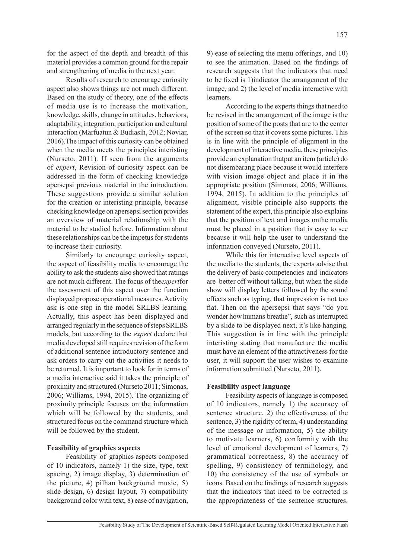for the aspect of the depth and breadth of this material provides a common ground for the repair and strengthening of media in the next year.

Results of research to encourage curiosity aspect also shows things are not much different. Based on the study of theory, one of the effects of media use is to increase the motivation, knowledge, skills, change in attitudes, behaviors, adaptability, integration, participation and cultural interaction (Marfuatun & Budiasih, 2012; Noviar, 2016).The impact of this curiosity can be obtained when the media meets the principles interisting (Nurseto, 2011)*.* If seen from the arguments of *expert*, Revision of curiosity aspect can be addressed in the form of checking knowledge apersepsi previous material in the introduction. These suggestions provide a similar solution for the creation or interisting principle, because checking knowledge on apersepsi section provides an overview of material relationship with the material to be studied before. Information about these relationships can be the impetus for students to increase their curiosity.

Similarly to encourage curiosity aspect, the aspect of feasibility media to encourage the ability to ask the students also showed that ratings are not much different. The focus of the*expert*for the assessment of this aspect over the function displayed propose operational measures. Activity ask is one step in the model SRLBS learning. Actually, this aspect has been displayed and arranged regularly in the sequence of steps SRLBS models, but according to the *expert* declare that media developed still requires revision of the form of additional sentence introductory sentence and ask orders to carry out the activities it needs to be returned. It is important to look for in terms of a media interactive said it takes the principle of proximity and structured (Nurseto 2011; Simonas, 2006; Williams, 1994, 2015). The organizing of proximity principle focuses on the information which will be followed by the students, and structured focus on the command structure which will be followed by the student.

## **Feasibility of graphics aspects**

Feasibility of graphics aspects composed of 10 indicators, namely 1) the size, type, text spacing, 2) image display, 3) determination of the picture, 4) pilhan background music, 5) slide design, 6) design layout, 7) compatibility background color with text, 8) ease of navigation, 9) ease of selecting the menu offerings, and 10) to see the animation. Based on the findings of research suggests that the indicators that need to be fixed is 1)indicator the arrangement of the image, and 2) the level of media interactive with learners.

According to the experts things that need to be revised in the arrangement of the image is the position of some of the posts that are to the center of the screen so that it covers some pictures. This is in line with the principle of alignment in the development of interactive media, these principles provide an explanation thatput an item (article) do not disembarang place because it would interfere with vision image object and place it in the appropriate position (Simonas, 2006; Williams, 1994, 2015). In addition to the principles of alignment, visible principle also supports the statement of the expert, this principle also explains that the position of text and images onthe media must be placed in a position that is easy to see because it will help the user to understand the information conveyed (Nurseto, 2011).

While this for interactive level aspects of the media to the students, the experts advise that the delivery of basic competencies and indicators are better off without talking, but when the slide show will display letters followed by the sound effects such as typing, that impression is not too flat. Then on the apersepsi that says "do you wonder how humans breathe", such as interrupted by a slide to be displayed next, it's like hanging. This suggestion is in line with the principle interisting stating that manufacture the media must have an element of the attractiveness for the user, it will support the user wishes to examine information submitted (Nurseto, 2011).

## **Feasibility aspect language**

Feasibility aspects of language is composed of 10 indicators, namely 1) the accuracy of sentence structure, 2) the effectiveness of the sentence, 3) the rigidity of term, 4) understanding of the message or information, 5) the ability to motivate learners, 6) conformity with the level of emotional development of learners, 7) grammatical correctness, 8) the accuracy of spelling, 9) consistency of terminology, and 10) the consistency of the use of symbols or icons. Based on the findings of research suggests that the indicators that need to be corrected is the appropriateness of the sentence structures.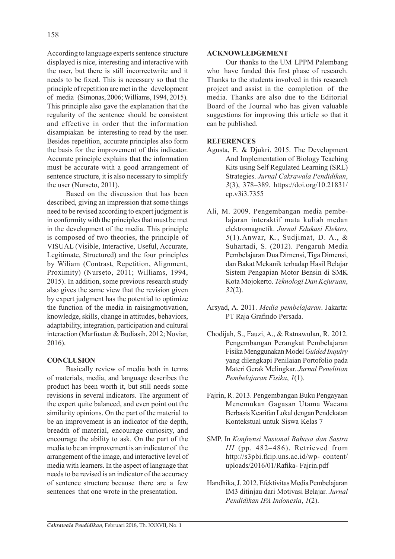According to language experts sentence structure displayed is nice, interesting and interactive with the user, but there is still incorrectwrite and it needs to be fixed. This is necessary so that the principle of repetition are met in the development of media (Simonas, 2006; Williams, 1994, 2015). This principle also gave the explanation that the regularity of the sentence should be consistent and effective in order that the information disampiakan be interesting to read by the user. Besides repetition, accurate principles also form the basis for the improvement of this indicator. Accurate principle explains that the information must be accurate with a good arrangement of sentence structure, it is also necessary to simplify the user (Nurseto, 2011).

Based on the discussion that has been described, giving an impression that some things need to be revised according to expert judgment is in conformity with the principles that must be met in the development of the media. This principle is composed of two theories, the principle of VISUAL (Visible, Interactive, Useful, Accurate, Legitimate, Structured) and the four principles by Wiliam (Contrast, Repetition, Alignment, Proximity) (Nurseto, 2011; Williams, 1994, 2015). In addition, some previous research study also gives the same view that the revision given by expert judgment has the potential to optimize the function of the media in raisingmotivation, knowledge, skills, change in attitudes, behaviors, adaptability, integration, participation and cultural interaction (Marfuatun & Budiasih, 2012; Noviar, 2016).

# **CONCLUSION**

Basically review of media both in terms of materials, media, and language describes the product has been worth it, but still needs some revisions in several indicators. The argument of the expert quite balanced, and even point out the similarity opinions. On the part of the material to be an improvement is an indicator of the depth, breadth of material, encourage curiosity, and encourage the ability to ask. On the part of the media to be an improvement is an indicator of the arrangement of the image, and interactive level of media with learners. In the aspect of language that needs to be revised is an indicator of the accuracy of sentence structure because there are a few sentences that one wrote in the presentation.

## **ACKNOWLEDGEMENT**

Our thanks to the UM LPPM Palembang who have funded this first phase of research. Thanks to the students involved in this research project and assist in the completion of the media. Thanks are also due to the Editorial Board of the Journal who has given valuable suggestions for improving this article so that it can be published.

# **REFERENCES**

- Agusta, E. & Djukri. 2015. The Development And Implementation of Biology Teaching Kits using Self Regulated Learning (SRL) Strategies. *Jurnal Cakrawala Pendidikan*, *3*(3), 378–389. https://doi.org/10.21831/ cp.v3i3.7355
- Ali, M. 2009. Pengembangan media pembelajaran interaktif mata kuliah medan elektromagnetik. *Jurnal Edukasi Elektro*, *5*(1).Anwar, K., Sudjimat, D. A., & Suhartadi, S. (2012). Pengaruh Media Pembelajaran Dua Dimensi, Tiga Dimensi, dan Bakat Mekanik terhadap Hasil Belajar Sistem Pengapian Motor Bensin di SMK Kota Mojokerto. *Teknologi Dan Kejuruan*, *32*(2).
- Arsyad, A. 2011. *Media pembelajaran*. Jakarta: PT Raja Grafindo Persada.
- Chodijah, S., Fauzi, A., & Ratnawulan, R. 2012. Pengembangan Perangkat Pembelajaran Fisika Menggunakan Model *Guided Inquiry*  yang dilengkapi Penilaian Portofolio pada Materi Gerak Melingkar. *Jurnal Penelitian Pembelajaran Fisika*, *1*(1).
- Fajrin, R. 2013. Pengembangan Buku Pengayaan Menemukan Gagasan Utama Wacana Berbasis Kearifan Lokal dengan Pendekatan Kontekstual untuk Siswa Kelas 7
- SMP. In *Konfrensi Nasional Bahasa dan Sastra III* (pp. 482–486). Retrieved from http://s3pbi.fkip.uns.ac.id/wp- content/ uploads/2016/01/Rafika- Fajrin.pdf
- Handhika, J. 2012. Efektivitas Media Pembelajaran IM3 ditinjau dari Motivasi Belajar. *Jurnal Pendidikan IPA Indonesia*, *1*(2).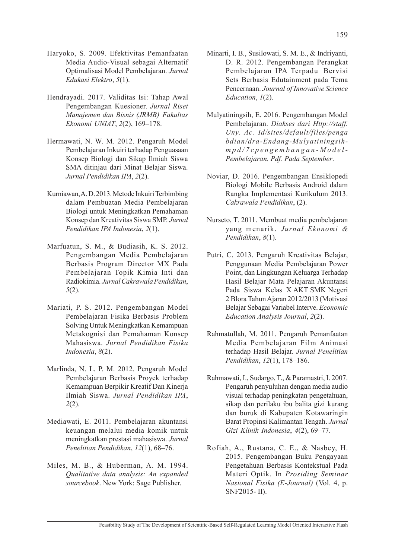- Haryoko, S. 2009. Efektivitas Pemanfaatan Media Audio-Visual sebagai Alternatif Optimalisasi Model Pembelajaran. *Jurnal Edukasi Elektro*, *5*(1).
- Hendrayadi. 2017. Validitas Isi: Tahap Awal Pengembangan Kuesioner. *Jurnal Riset Manajemen dan Bisnis (JRMB) Fakultas Ekonomi UNIAT*, *2*(2), 169–178.
- Hermawati, N. W. M. 2012. Pengaruh Model Pembelajaran Inkuiri terhadap Penguasaan Konsep Biologi dan Sikap Ilmiah Siswa SMA ditinjau dari Minat Belajar Siswa. *Jurnal Pendidikan IPA*, *2*(2).
- Kurniawan, A. D. 2013. Metode Inkuiri Terbimbing dalam Pembuatan Media Pembelajaran Biologi untuk Meningkatkan Pemahaman Konsep dan Kreativitas Siswa SMP. *Jurnal Pendidikan IPA Indonesia*, *2*(1).
- Marfuatun, S. M., & Budiasih, K. S. 2012. Pengembangan Media Pembelajaran Berbasis Program Director MX Pada Pembelajaran Topik Kimia Inti dan Radiokimia. *Jurnal Cakrawala Pendidikan*, *5*(2).
- Mariati, P. S. 2012. Pengembangan Model Pembelajaran Fisika Berbasis Problem Solving Untuk Meningkatkan Kemampuan Metakognisi dan Pemahaman Konsep Mahasiswa. *Jurnal Pendidikan Fisika Indonesia*, *8*(2).
- Marlinda, N. L. P. M. 2012. Pengaruh Model Pembelajaran Berbasis Proyek terhadap Kemampuan Berpikir Kreatif Dan Kinerja Ilmiah Siswa. *Jurnal Pendidikan IPA*, *2*(2).
- Mediawati, E. 2011. Pembelajaran akuntansi keuangan melalui media komik untuk meningkatkan prestasi mahasiswa. *Jurnal Penelitian Pendidikan*, *12*(1), 68–76.
- Miles, M. B., & Huberman, A. M. 1994. *Qualitative data analysis: An expanded sourcebook*. New York: Sage Publisher.
- Minarti, I. B., Susilowati, S. M. E., & Indriyanti, D. R. 2012. Pengembangan Perangkat Pembelajaran IPA Terpadu Bervisi Sets Berbasis Edutainment pada Tema Pencernaan. *Journal of Innovative Science Education*, *1*(2).
- Mulyatiningsih, E. 2016. Pengembangan Model Pembelajaran. *Diakses dari Http://staff. Uny. Ac. Id/sites/default/files/penga bdian/dra-Endang-Mulyatiningsihm p d / 7 c p e n g e m b a n g a n - M o d e l - Pembelajaran. Pdf. Pada September*.
- Noviar, D. 2016. Pengembangan Ensiklopedi Biologi Mobile Berbasis Android dalam Rangka Implementasi Kurikulum 2013. *Cakrawala Pendidikan*, (2).
- Nurseto, T. 2011. Membuat media pembelajaran yang menarik. *Jurnal Ekonomi & Pendidikan*, *8*(1).
- Putri, C. 2013. Pengaruh Kreativitas Belajar, Penggunaan Media Pembelajaran Power Point, dan Lingkungan Keluarga Terhadap Hasil Belajar Mata Pelajaran Akuntansi Pada Siswa Kelas X AKT SMK Negeri 2 Blora Tahun Ajaran 2012/2013 (Motivasi Belajar Sebagai Variabel Interve. *Economic Education Analysis Journal*, *2*(2).
- Rahmatullah, M. 2011. Pengaruh Pemanfaatan Media Pembelajaran Film Animasi terhadap Hasil Belajar. *Jurnal Penelitian Pendidikan*, *12*(1), 178–186.
- Rahmawati, I., Sudargo, T., & Paramastri, I. 2007. Pengaruh penyuluhan dengan media audio visual terhadap peningkatan pengetahuan, sikap dan perilaku ibu balita gizi kurang dan buruk di Kabupaten Kotawaringin Barat Propinsi Kalimantan Tengah. *Jurnal Gizi Klinik Indonesia*, *4*(2), 69–77.
- Rofiah, A., Rustana, C. E., & Nasbey, H. 2015. Pengembangan Buku Pengayaan Pengetahuan Berbasis Kontekstual Pada Materi Optik. In *Prosiding Seminar Nasional Fisika (E-Journal)* (Vol. 4, p. SNF2015- II).